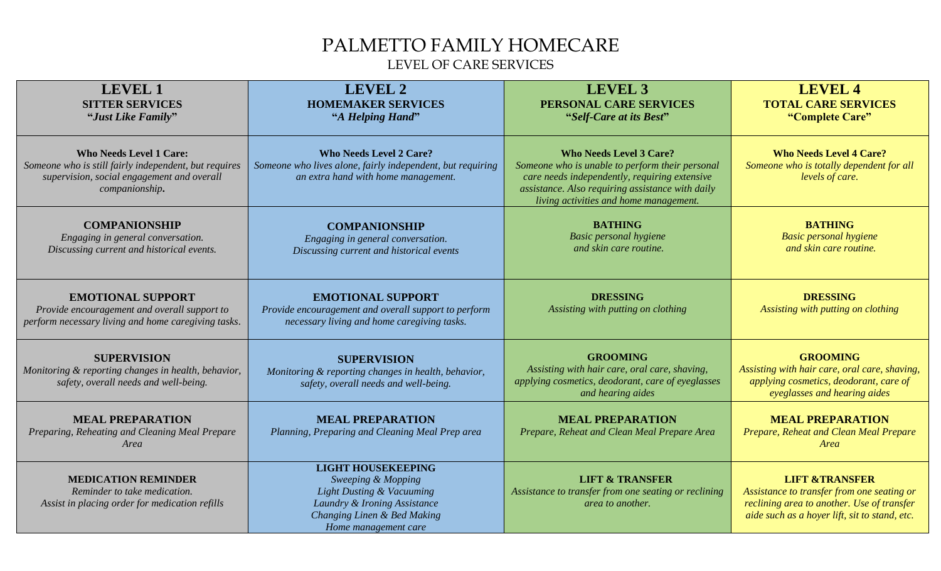## PALMETTO FAMILY HOMECARE LEVEL OF CARE SERVICES

| <b>LEVEL 1</b><br><b>SITTER SERVICES</b><br>"Just Like Family"                                                                                          | <b>LEVEL 2</b><br><b>HOMEMAKER SERVICES</b><br>"A Helping Hand"                                                                                                                | <b>LEVEL 3</b><br>PERSONAL CARE SERVICES<br>"Self-Care at its Best"                                                                                                                                                              | <b>LEVEL 4</b><br><b>TOTAL CARE SERVICES</b><br>"Complete Care"                                                                                                        |
|---------------------------------------------------------------------------------------------------------------------------------------------------------|--------------------------------------------------------------------------------------------------------------------------------------------------------------------------------|----------------------------------------------------------------------------------------------------------------------------------------------------------------------------------------------------------------------------------|------------------------------------------------------------------------------------------------------------------------------------------------------------------------|
| <b>Who Needs Level 1 Care:</b><br>Someone who is still fairly independent, but requires<br>supervision, social engagement and overall<br>companionship. | <b>Who Needs Level 2 Care?</b><br>Someone who lives alone, fairly independent, but requiring<br>an extra hand with home management.                                            | <b>Who Needs Level 3 Care?</b><br>Someone who is unable to perform their personal<br>care needs independently, requiring extensive<br>assistance. Also requiring assistance with daily<br>living activities and home management. | <b>Who Needs Level 4 Care?</b><br>Someone who is totally dependent for all<br>levels of care.                                                                          |
| <b>COMPANIONSHIP</b><br>Engaging in general conversation.<br>Discussing current and historical events.                                                  | <b>COMPANIONSHIP</b><br>Engaging in general conversation.<br>Discussing current and historical events                                                                          | <b>BATHING</b><br><b>Basic personal hygiene</b><br>and skin care routine.                                                                                                                                                        | <b>BATHING</b><br><b>Basic personal hygiene</b><br>and skin care routine.                                                                                              |
| <b>EMOTIONAL SUPPORT</b><br>Provide encouragement and overall support to<br>perform necessary living and home caregiving tasks.                         | <b>EMOTIONAL SUPPORT</b><br>Provide encouragement and overall support to perform<br>necessary living and home caregiving tasks.                                                | <b>DRESSING</b><br>Assisting with putting on clothing                                                                                                                                                                            | <b>DRESSING</b><br>Assisting with putting on clothing                                                                                                                  |
| <b>SUPERVISION</b><br>Monitoring & reporting changes in health, behavior,<br>safety, overall needs and well-being.                                      | <b>SUPERVISION</b><br>Monitoring & reporting changes in health, behavior,<br>safety, overall needs and well-being.                                                             | <b>GROOMING</b><br>Assisting with hair care, oral care, shaving,<br>applying cosmetics, deodorant, care of eyeglasses<br>and hearing aides                                                                                       | <b>GROOMING</b><br>Assisting with hair care, oral care, shaving,<br>applying cosmetics, deodorant, care of<br>eyeglasses and hearing aides                             |
| <b>MEAL PREPARATION</b><br>Preparing, Reheating and Cleaning Meal Prepare<br>Area                                                                       | <b>MEAL PREPARATION</b><br>Planning, Preparing and Cleaning Meal Prep area                                                                                                     | <b>MEAL PREPARATION</b><br>Prepare, Reheat and Clean Meal Prepare Area                                                                                                                                                           | <b>MEAL PREPARATION</b><br>Prepare, Reheat and Clean Meal Prepare<br>Area                                                                                              |
| <b>MEDICATION REMINDER</b><br>Reminder to take medication.<br>Assist in placing order for medication refills                                            | <b>LIGHT HOUSEKEEPING</b><br>Sweeping & Mopping<br><b>Light Dusting &amp; Vacuuming</b><br>Laundry & Ironing Assistance<br>Changing Linen & Bed Making<br>Home management care | <b>LIFT &amp; TRANSFER</b><br>Assistance to transfer from one seating or reclining<br>area to another.                                                                                                                           | <b>LIFT &amp;TRANSFER</b><br>Assistance to transfer from one seating or<br>reclining area to another. Use of transfer<br>aide such as a hoyer lift, sit to stand, etc. |